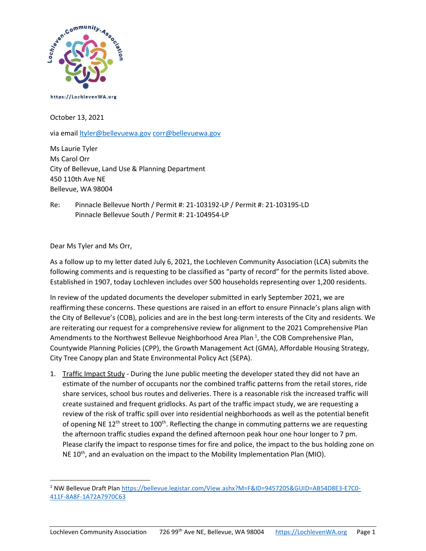

https://LochlevenWA.org

October 13, 2021

via email *ltyler@bellevuewa.gov corr@bellevuewa.gov* 

Ms Laurie Tyler Ms Carol Orr City of Bellevue, Land Use & Planning Department 450 110th Ave NE Bellevue, WA 98004

Re: Pinnacle Bellevue North / Permit #: 21-103192-LP / Permit #: 21-103195-LD Pinnacle Bellevue South / Permit #: 21-104954-LP

Dear Ms Tyler and Ms Orr,

As a follow up to my letter dated July 6, 2021, the Lochleven Community Association (LCA) submits the following comments and is requesting to be classified as "party of record" for the permits listed above. Established in 1907, today Lochleven includes over 500 households representing over 1,200 residents.

In review of the updated documents the developer submitted in early September 2021, we are reaffirming these concerns. These questions are raised in an effort to ensure Pinnacle's plans align with the City of Bellevue's (COB), policies and are in the best long-term interests of the City and residents. We are reiterating our request for a comprehensive review for alignment to the 2021 Comprehensive Plan Amendments to the Northwest Bellevue Neighborhood Area Plan<sup>1</sup>, the COB Comprehensive Plan, Countywide Planning Policies (CPP), the Growth Management Act (GMA), Affordable Housing Strategy, City Tree Canopy plan and State Environmental Policy Act (SEPA).

1. Traffic Impact Study - During the June public meeting the developer stated they did not have an estimate of the number of occupants nor the combined traffic patterns from the retail stores, ride share services, school bus routes and deliveries. There is a reasonable risk the increased traffic will create sustained and frequent gridlocks. As part of the traffic impact study, we are requesting a review of the risk of traffic spill over into residential neighborhoods as well as the potential benefit of opening NE  $12<sup>th</sup>$  street to  $100<sup>th</sup>$ . Reflecting the change in commuting patterns we are requesting the afternoon traffic studies expand the defined afternoon peak hour one hour longer to 7 pm. Please clarify the impact to response times for fire and police, the impact to the bus holding zone on NE 10<sup>th</sup>, and an evaluation on the impact to the Mobility Implementation Plan (MIO).

<sup>&</sup>lt;sup>1</sup> NW Bellevue Draft Plan https://bellevue.legistar.com/View.ashx?M=F&ID=9457205&GUID=AB54D8E3-E7C0-411F-8A8F-1A72A7970C63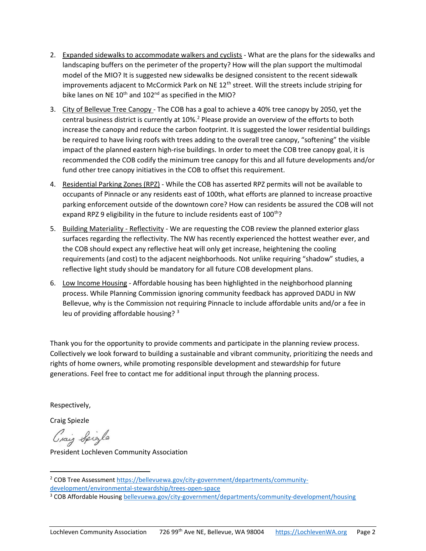- 2. Expanded sidewalks to accommodate walkers and cyclists What are the plans for the sidewalks and landscaping buffers on the perimeter of the property? How will the plan support the multimodal model of the MIO? It is suggested new sidewalks be designed consistent to the recent sidewalk improvements adjacent to McCormick Park on NE  $12<sup>th</sup>$  street. Will the streets include striping for bike lanes on NE  $10^{th}$  and  $102^{nd}$  as specified in the MIO?
- 3. City of Bellevue Tree Canopy The COB has a goal to achieve a 40% tree canopy by 2050, yet the central business district is currently at  $10\%$ .<sup>2</sup> Please provide an overview of the efforts to both increase the canopy and reduce the carbon footprint. It is suggested the lower residential buildings be required to have living roofs with trees adding to the overall tree canopy, "softening" the visible impact of the planned eastern high-rise buildings. In order to meet the COB tree canopy goal, it is recommended the COB codify the minimum tree canopy for this and all future developments and/or fund other tree canopy initiatives in the COB to offset this requirement.
- 4. Residential Parking Zones (RPZ) While the COB has asserted RPZ permits will not be available to occupants of Pinnacle or any residents east of 100th, what efforts are planned to increase proactive parking enforcement outside of the downtown core? How can residents be assured the COB will not expand RPZ 9 eligibility in the future to include residents east of 100<sup>th</sup>?
- 5. Building Materiality Reflectivity We are requesting the COB review the planned exterior glass surfaces regarding the reflectivity. The NW has recently experienced the hottest weather ever, and the COB should expect any reflective heat will only get increase, heightening the cooling requirements (and cost) to the adjacent neighborhoods. Not unlike requiring "shadow" studies, a reflective light study should be mandatory for all future COB development plans.
- 6. Low Income Housing Affordable housing has been highlighted in the neighborhood planning process. While Planning Commission ignoring community feedback has approved DADU in NW Bellevue, why is the Commission not requiring Pinnacle to include affordable units and/or a fee in leu of providing affordable housing? <sup>3</sup>

Thank you for the opportunity to provide comments and participate in the planning review process. Collectively we look forward to building a sustainable and vibrant community, prioritizing the needs and rights of home owners, while promoting responsible development and stewardship for future generations. Feel free to contact me for additional input through the planning process.

Respectively,

Craig Spiezle

Craig Spigle

President Lochleven Community Association

<sup>&</sup>lt;sup>2</sup> COB Tree Assessment https://bellevuewa.gov/city-government/departments/communitydevelopment/environmental-stewardship/trees-open-space

<sup>&</sup>lt;sup>3</sup> COB Affordable Housing bellevuewa.gov/city-government/departments/community-development/housing